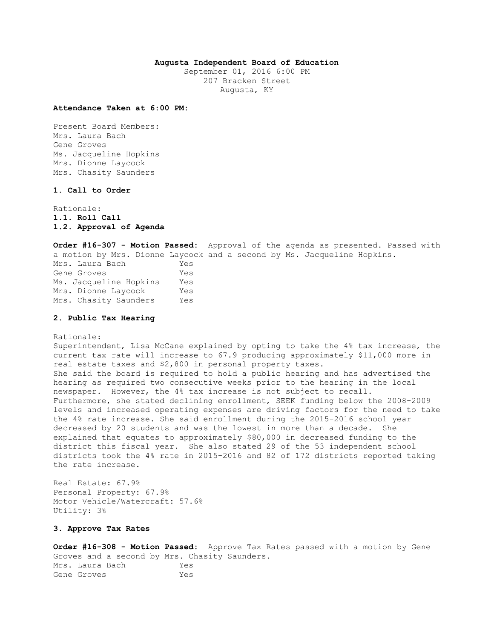### **Augusta Independent Board of Education**

September 01, 2016 6:00 PM 207 Bracken Street Augusta, KY

**Attendance Taken at 6:00 PM:**

Present Board Members: Mrs. Laura Bach Gene Groves Ms. Jacqueline Hopkins Mrs. Dionne Laycock Mrs. Chasity Saunders

# **1. Call to Order**

Rationale: **1.1. Roll Call 1.2. Approval of Agenda** 

**Order #16-307 - Motion Passed:** Approval of the agenda as presented. Passed with a motion by Mrs. Dionne Laycock and a second by Ms. Jacqueline Hopkins. Mrs. Laura Bach Yes Gene Groves Yes Ms. Jacqueline Hopkins Yes Mrs. Dionne Laycock Yes Mrs. Chasity Saunders Yes

### **2. Public Tax Hearing**

Rationale:

Superintendent, Lisa McCane explained by opting to take the 4% tax increase, the current tax rate will increase to 67.9 producing approximately \$11,000 more in real estate taxes and \$2,800 in personal property taxes. She said the board is required to hold a public hearing and has advertised the hearing as required two consecutive weeks prior to the hearing in the local newspaper. However, the 4% tax increase is not subject to recall. Furthermore, she stated declining enrollment, SEEK funding below the 2008-2009 levels and increased operating expenses are driving factors for the need to take the 4% rate increase. She said enrollment during the 2015-2016 school year decreased by 20 students and was the lowest in more than a decade. She explained that equates to approximately \$80,000 in decreased funding to the district this fiscal year. She also stated 29 of the 53 independent school districts took the 4% rate in 2015-2016 and 82 of 172 districts reported taking the rate increase.

Real Estate: 67.9% Personal Property: 67.9% Motor Vehicle/Watercraft: 57.6% Utility: 3%

### **3. Approve Tax Rates**

**Order #16-308 - Motion Passed:** Approve Tax Rates passed with a motion by Gene Groves and a second by Mrs. Chasity Saunders. Mrs. Laura Bach Yes Gene Groves Yes